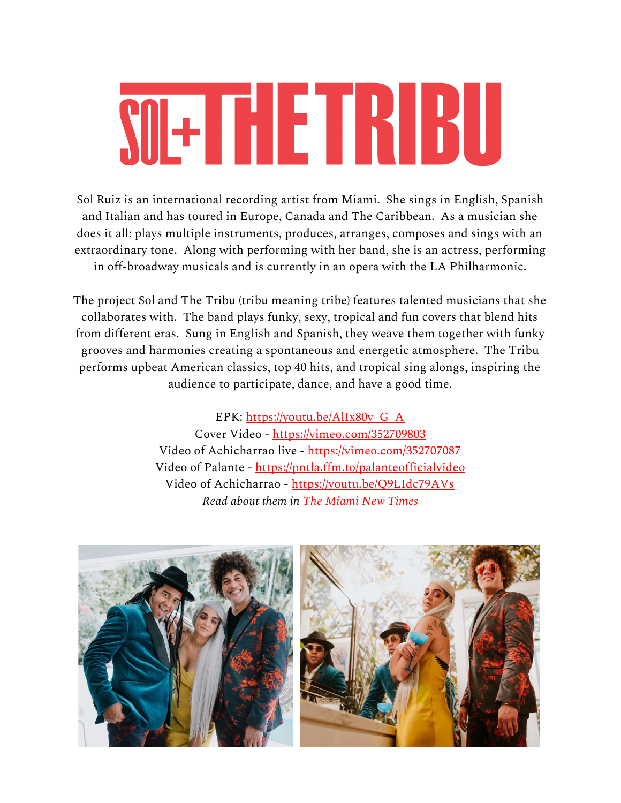# SIETHETHETHU

Sol Ruiz is an international recording artist from Miami. She sings in English, Spanish and Italian and has toured in Europe, Canada and The Caribbean. As a musician she does it all: plays multiple instruments, produces, arranges, composes and sings with an extraordinary tone. Along with performing with her band, she is an actress, performing in off-broadway musicals and is currently in an opera with the LA Philharmonic.

The project Sol and The Tribu (tribu meaning tribe) features talented musicians that she collaborates with. The band plays funky, sexy, tropical and fun covers that blend hits from different eras. Sung in English and Spanish, they weave them together with funky grooves and harmonies creating a spontaneous and energetic atmosphere. The Tribu performs upbeat American classics, top 40 hits, and tropical sing alongs, inspiring the audience to participate, dance, and have a good time.

> EPK: [https://youtu.be/AlIx80y\\_G\\_A](https://youtu.be/AlIx80y_G_A) Cover Video -<https://vimeo.com/352709803> Video of Achicharrao live -<https://vimeo.com/352707087> Video of Palante - <https://pntla.ffm.to/palanteofficialvideo> Video of Achicharrao -<https://youtu.be/Q9LIdc79AVs> *Read about them in The [Miami](https://www.miaminewtimes.com/music/things-to-do-in-miami-sol-the-tribu-at-residency-at-faena-hotel-south-beach-11241667) New Times*

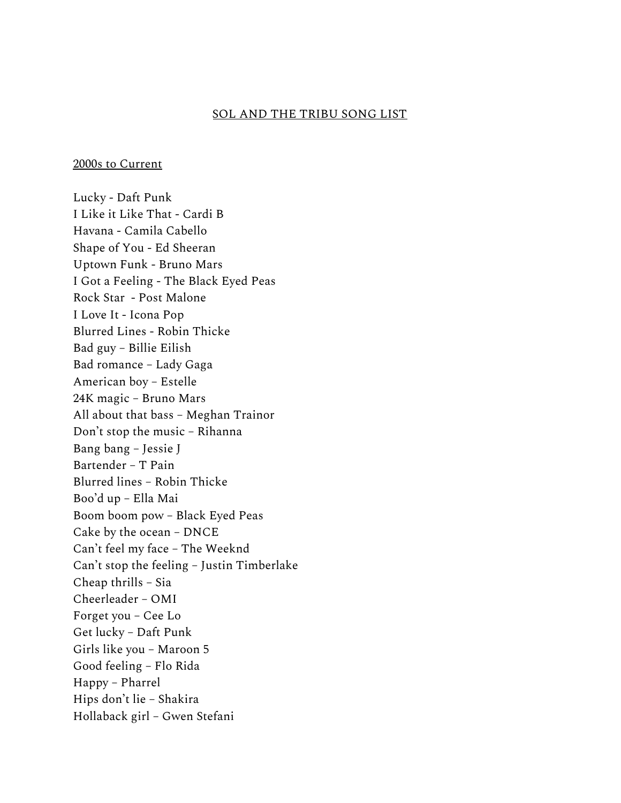#### SOL AND THE TRIBU SONG LIST

2000s to Current

Lucky - Daft Punk I Like it Like That - Cardi B Havana - Camila Cabello Shape of You - Ed Sheeran Uptown Funk - Bruno Mars I Got a Feeling - The Black Eyed Peas Rock Star - Post Malone I Love It - Icona Pop Blurred Lines - Robin Thicke Bad guy – Billie Eilish Bad romance – Lady Gaga American boy – Estelle 24K magic – Bruno Mars All about that bass – Meghan Trainor Don't stop the music – Rihanna Bang bang – Jessie J Bartender – T Pain Blurred lines – Robin Thicke Boo'd up – Ella Mai Boom boom pow – Black Eyed Peas Cake by the ocean – DNCE Can't feel my face – The Weeknd Can't stop the feeling – Justin Timberlake Cheap thrills – Sia Cheerleader – OMI Forget you – Cee Lo Get lucky – Daft Punk Girls like you – Maroon 5 Good feeling – Flo Rida Happy – Pharrel Hips don't lie – Shakira Hollaback girl – Gwen Stefani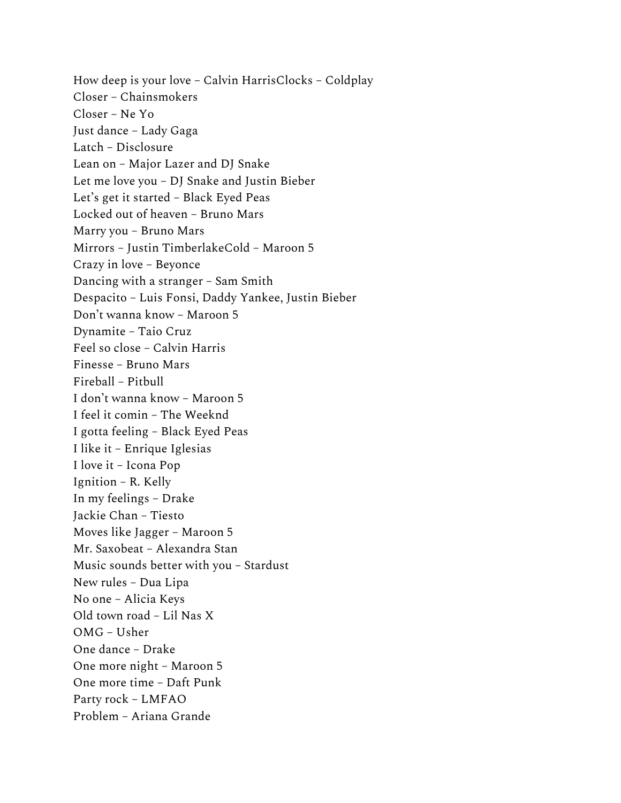How deep is your love – Calvin HarrisClocks – Coldplay Closer – Chainsmokers Closer – Ne Yo Just dance – Lady Gaga Latch – Disclosure Lean on – Major Lazer and DJ Snake Let me love you – DJ Snake and Justin Bieber Let's get it started – Black Eyed Peas Locked out of heaven – Bruno Mars Marry you – Bruno Mars Mirrors – Justin TimberlakeCold – Maroon 5 Crazy in love – Beyonce Dancing with a stranger – Sam Smith Despacito – Luis Fonsi, Daddy Yankee, Justin Bieber Don't wanna know – Maroon 5 Dynamite – Taio Cruz Feel so close – Calvin Harris Finesse – Bruno Mars Fireball – Pitbull I don't wanna know – Maroon 5 I feel it comin – The Weeknd I gotta feeling – Black Eyed Peas I like it – Enrique Iglesias I love it – Icona Pop Ignition – R. Kelly In my feelings – Drake Jackie Chan – Tiesto Moves like Jagger – Maroon 5 Mr. Saxobeat – Alexandra Stan Music sounds better with you – Stardust New rules – Dua Lipa No one – Alicia Keys Old town road – Lil Nas X OMG – Usher One dance – Drake One more night – Maroon 5 One more time – Daft Punk Party rock – LMFAO Problem – Ariana Grande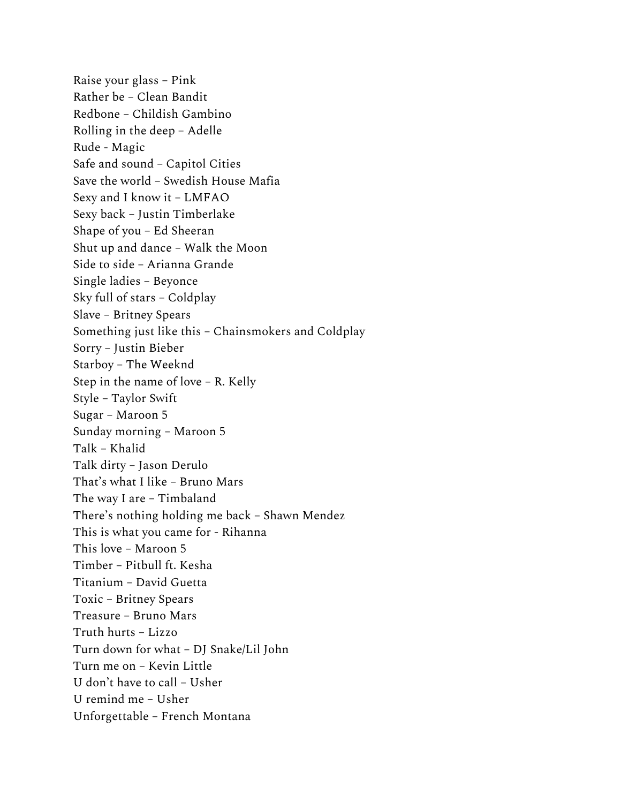Raise your glass – Pink Rather be – Clean Bandit Redbone – Childish Gambino Rolling in the deep – Adelle Rude - Magic Safe and sound – Capitol Cities Save the world – Swedish House Mafia Sexy and I know it – LMFAO Sexy back – Justin Timberlake Shape of you – Ed Sheeran Shut up and dance – Walk the Moon Side to side – Arianna Grande Single ladies – Beyonce Sky full of stars – Coldplay Slave – Britney Spears Something just like this – Chainsmokers and Coldplay Sorry – Justin Bieber Starboy – The Weeknd Step in the name of love – R. Kelly Style – Taylor Swift Sugar – Maroon 5 Sunday morning – Maroon 5 Talk – Khalid Talk dirty – Jason Derulo That's what I like – Bruno Mars The way I are – Timbaland There's nothing holding me back – Shawn Mendez This is what you came for - Rihanna This love – Maroon 5 Timber – Pitbull ft. Kesha Titanium – David Guetta Toxic – Britney Spears Treasure – Bruno Mars Truth hurts – Lizzo Turn down for what – DJ Snake/Lil John Turn me on – Kevin Little U don't have to call – Usher U remind me – Usher Unforgettable – French Montana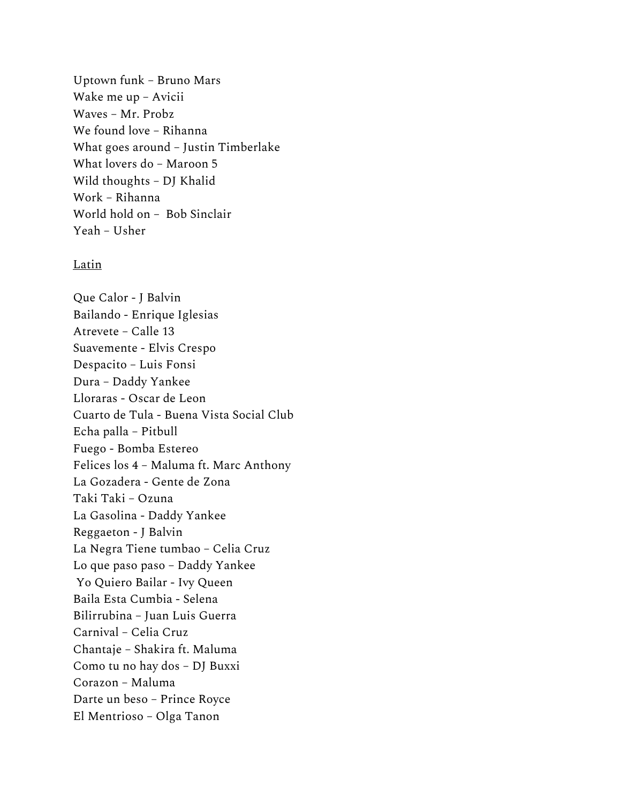Uptown funk – Bruno Mars Wake me up – Avicii Waves – Mr. Probz We found love – Rihanna What goes around – Justin Timberlake What lovers do – Maroon 5 Wild thoughts – DJ Khalid Work – Rihanna World hold on – Bob Sinclair Yeah – Usher

#### Latin

Que Calor - J Balvin Bailando - Enrique Iglesias Atrevete – Calle 13 Suavemente - Elvis Crespo Despacito – Luis Fonsi Dura – Daddy Yankee Lloraras - Oscar de Leon Cuarto de Tula - Buena Vista Social Club Echa palla – Pitbull Fuego - Bomba Estereo Felices los 4 – Maluma ft. Marc Anthony La Gozadera - Gente de Zona Taki Taki – Ozuna La Gasolina - Daddy Yankee Reggaeton - J Balvin La Negra Tiene tumbao – Celia Cruz Lo que paso paso – Daddy Yankee Yo Quiero Bailar - Ivy Queen Baila Esta Cumbia - Selena Bilirrubina – Juan Luis Guerra Carnival – Celia Cruz Chantaje – Shakira ft. Maluma Como tu no hay dos – DJ Buxxi Corazon – Maluma Darte un beso – Prince Royce El Mentrioso – Olga Tanon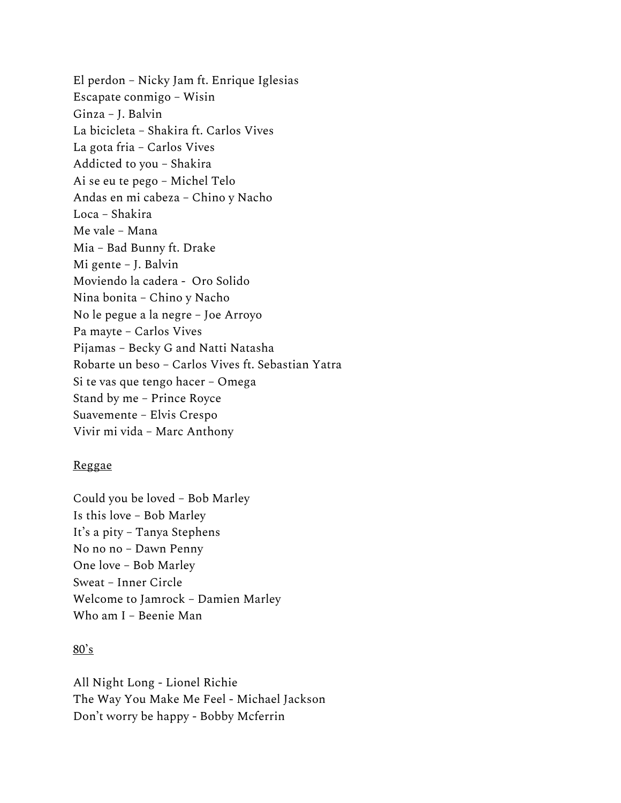El perdon – Nicky Jam ft. Enrique Iglesias Escapate conmigo – Wisin Ginza - J. Balvin La bicicleta – Shakira ft. Carlos Vives La gota fria – Carlos Vives Addicted to you – Shakira Ai se eu te pego – Michel Telo Andas en mi cabeza – Chino y Nacho Loca – Shakira Me vale – Mana Mia – Bad Bunny ft. Drake Mi gente – J. Balvin Moviendo la cadera - Oro Solido Nina bonita – Chino y Nacho No le pegue a la negre – Joe Arroyo Pa mayte – Carlos Vives Pijamas – Becky G and Natti Natasha Robarte un beso – Carlos Vives ft. Sebastian Yatra Si te vas que tengo hacer – Omega Stand by me – Prince Royce Suavemente – Elvis Crespo Vivir mi vida – Marc Anthony

#### Reggae

Could you be loved – Bob Marley Is this love – Bob Marley It's a pity – Tanya Stephens No no no – Dawn Penny One love – Bob Marley Sweat – Inner Circle Welcome to Jamrock – Damien Marley Who am I – Beenie Man

# $80's$

All Night Long - Lionel Richie The Way You Make Me Feel - Michael Jackson Don't worry be happy - Bobby Mcferrin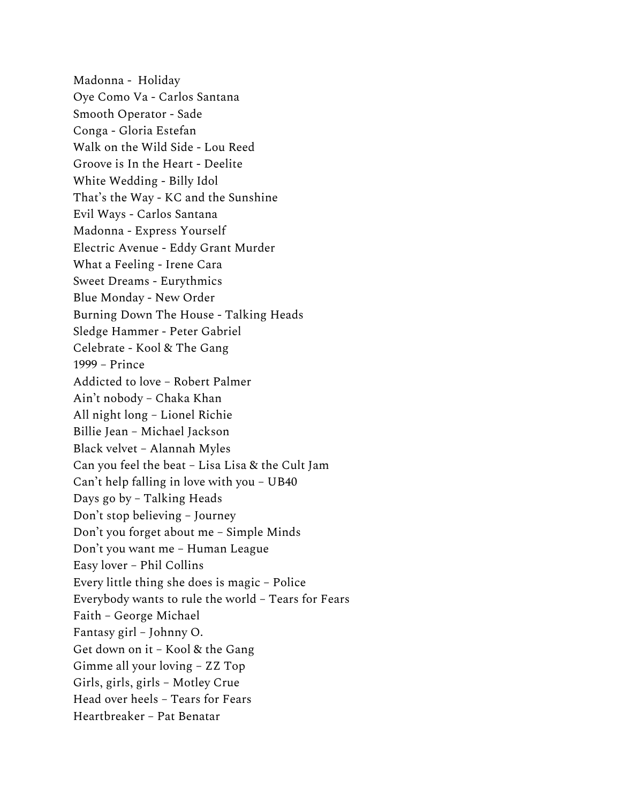Madonna - Holiday Oye Como Va - Carlos Santana Smooth Operator - Sade Conga - Gloria Estefan Walk on the Wild Side - Lou Reed Groove is In the Heart - Deelite White Wedding - Billy Idol That's the Way - KC and the Sunshine Evil Ways - Carlos Santana Madonna - Express Yourself Electric Avenue - Eddy Grant Murder What a Feeling - Irene Cara Sweet Dreams - Eurythmics Blue Monday - New Order Burning Down The House - Talking Heads Sledge Hammer - Peter Gabriel Celebrate - Kool & The Gang 1999 – Prince Addicted to love – Robert Palmer Ain't nobody – Chaka Khan All night long – Lionel Richie Billie Jean – Michael Jackson Black velvet – Alannah Myles Can you feel the beat – Lisa Lisa & the Cult Jam Can't help falling in love with you – UB40 Days go by – Talking Heads Don't stop believing – Journey Don't you forget about me – Simple Minds Don't you want me – Human League Easy lover – Phil Collins Every little thing she does is magic – Police Everybody wants to rule the world – Tears for Fears Faith – George Michael Fantasy girl – Johnny O. Get down on it – Kool & the Gang Gimme all your loving – ZZ Top Girls, girls, girls – Motley Crue Head over heels – Tears for Fears Heartbreaker – Pat Benatar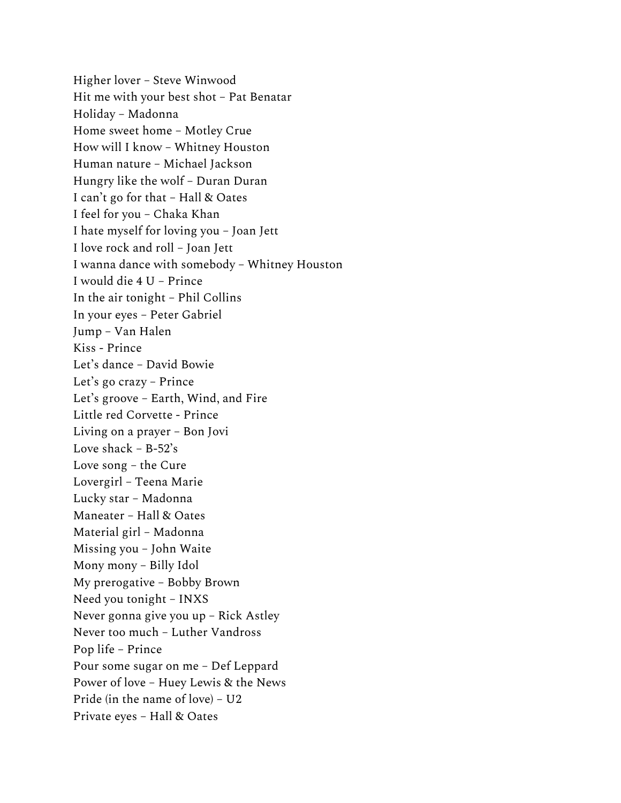Higher lover – Steve Winwood Hit me with your best shot – Pat Benatar Holiday – Madonna Home sweet home – Motley Crue How will I know – Whitney Houston Human nature – Michael Jackson Hungry like the wolf – Duran Duran I can't go for that – Hall & Oates I feel for you – Chaka Khan I hate myself for loving you – Joan Jett I love rock and roll – Joan Jett I wanna dance with somebody – Whitney Houston I would die 4 U – Prince In the air tonight – Phil Collins In your eyes – Peter Gabriel Jump – Van Halen Kiss - Prince Let's dance – David Bowie Let's go crazy – Prince Let's groove – Earth, Wind, and Fire Little red Corvette - Prince Living on a prayer – Bon Jovi Love shack  $- B - 52$ 's Love song – the Cure Lovergirl – Teena Marie Lucky star – Madonna Maneater – Hall & Oates Material girl – Madonna Missing you – John Waite Mony mony – Billy Idol My prerogative – Bobby Brown Need you tonight – INXS Never gonna give you up – Rick Astley Never too much – Luther Vandross Pop life – Prince Pour some sugar on me – Def Leppard Power of love – Huey Lewis & the News Pride (in the name of love) – U2 Private eyes – Hall & Oates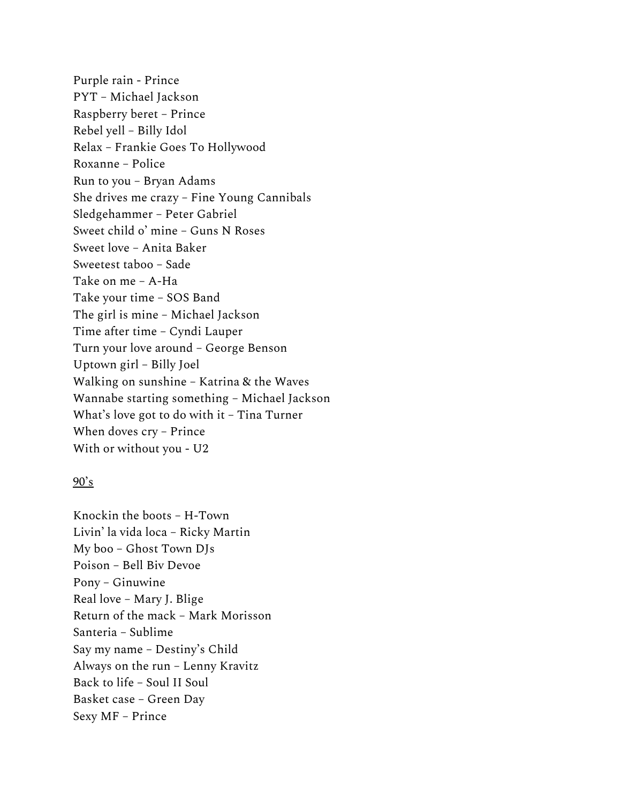Purple rain - Prince PYT – Michael Jackson Raspberry beret – Prince Rebel yell – Billy Idol Relax – Frankie Goes To Hollywood Roxanne – Police Run to you – Bryan Adams She drives me crazy – Fine Young Cannibals Sledgehammer – Peter Gabriel Sweet child o' mine – Guns N Roses Sweet love – Anita Baker Sweetest taboo – Sade Take on me – A-Ha Take your time – SOS Band The girl is mine – Michael Jackson Time after time – Cyndi Lauper Turn your love around – George Benson Uptown girl – Billy Joel Walking on sunshine – Katrina & the Waves Wannabe starting something – Michael Jackson What's love got to do with it – Tina Turner When doves cry – Prince With or without you - U2

# $90's$

Knockin the boots – H-Town Livin' la vida loca – Ricky Martin My boo – Ghost Town DJs Poison – Bell Biv Devoe Pony – Ginuwine Real love – Mary J. Blige Return of the mack – Mark Morisson Santeria – Sublime Say my name – Destiny's Child Always on the run – Lenny Kravitz Back to life – Soul II Soul Basket case – Green Day Sexy MF – Prince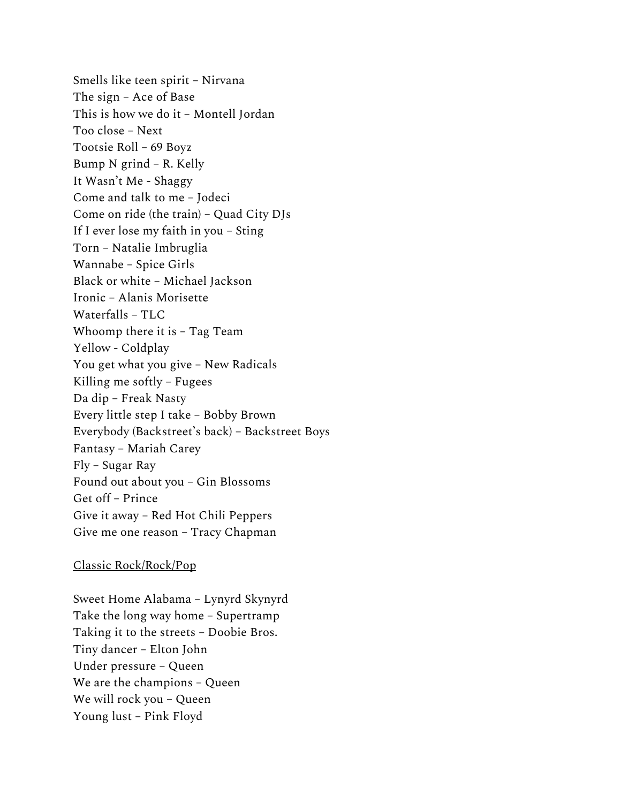Smells like teen spirit – Nirvana The sign – Ace of Base This is how we do it – Montell Jordan Too close – Next Tootsie Roll – 69 Boyz Bump N grind – R. Kelly It Wasn't Me - Shaggy Come and talk to me – Jodeci Come on ride (the train) – Quad City DJs If I ever lose my faith in you – Sting Torn – Natalie Imbruglia Wannabe – Spice Girls Black or white – Michael Jackson Ironic – Alanis Morisette Waterfalls – TLC Whoomp there it is – Tag Team Yellow - Coldplay You get what you give – New Radicals Killing me softly – Fugees Da dip – Freak Nasty Every little step I take – Bobby Brown Everybody (Backstreet's back) – Backstreet Boys Fantasy – Mariah Carey Fly – Sugar Ray Found out about you – Gin Blossoms Get off – Prince Give it away – Red Hot Chili Peppers Give me one reason – Tracy Chapman

#### Classic Rock/Rock/Pop

Sweet Home Alabama – Lynyrd Skynyrd Take the long way home – Supertramp Taking it to the streets – Doobie Bros. Tiny dancer – Elton John Under pressure – Queen We are the champions – Queen We will rock you – Queen Young lust – Pink Floyd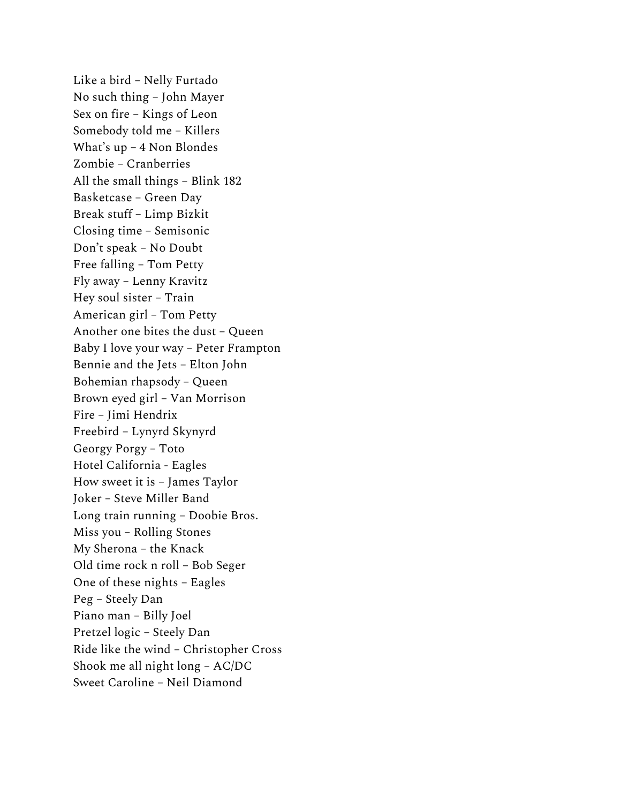Like a bird – Nelly Furtado No such thing – John Mayer Sex on fire – Kings of Leon Somebody told me – Killers What's up – 4 Non Blondes Zombie – Cranberries All the small things – Blink 182 Basketcase – Green Day Break stuff – Limp Bizkit Closing time – Semisonic Don't speak – No Doubt Free falling – Tom Petty Fly away – Lenny Kravitz Hey soul sister – Train American girl – Tom Petty Another one bites the dust – Queen Baby I love your way – Peter Frampton Bennie and the Jets – Elton John Bohemian rhapsody – Queen Brown eyed girl – Van Morrison Fire – Jimi Hendrix Freebird – Lynyrd Skynyrd Georgy Porgy – Toto Hotel California - Eagles How sweet it is – James Taylor Joker – Steve Miller Band Long train running – Doobie Bros. Miss you – Rolling Stones My Sherona – the Knack Old time rock n roll – Bob Seger One of these nights – Eagles Peg – Steely Dan Piano man – Billy Joel Pretzel logic – Steely Dan Ride like the wind – Christopher Cross Shook me all night long – AC/DC Sweet Caroline – Neil Diamond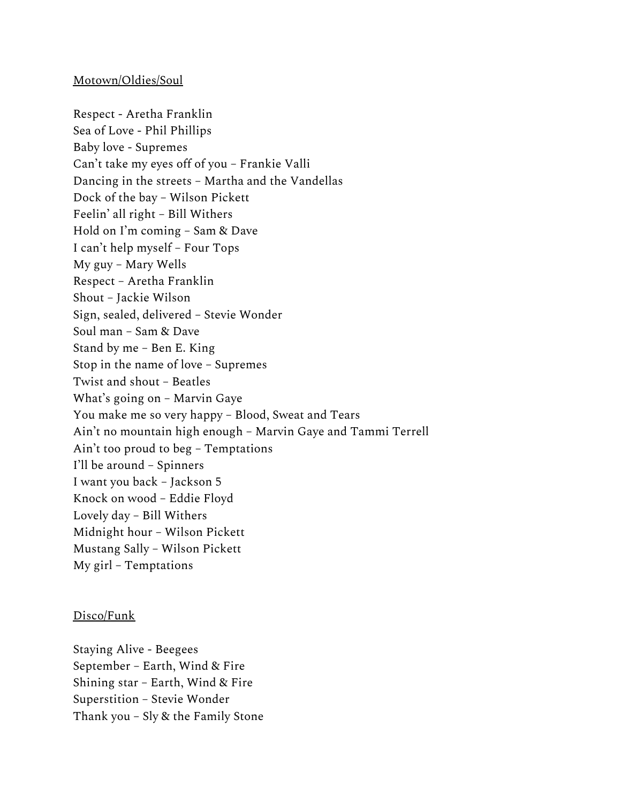#### Motown/Oldies/Soul

Respect - Aretha Franklin Sea of Love - Phil Phillips Baby love - Supremes Can't take my eyes off of you – Frankie Valli Dancing in the streets – Martha and the Vandellas Dock of the bay – Wilson Pickett Feelin' all right – Bill Withers Hold on I'm coming – Sam & Dave I can't help myself – Four Tops My guy – Mary Wells Respect – Aretha Franklin Shout – Jackie Wilson Sign, sealed, delivered – Stevie Wonder Soul man – Sam & Dave Stand by me – Ben E. King Stop in the name of love – Supremes Twist and shout – Beatles What's going on – Marvin Gaye You make me so very happy – Blood, Sweat and Tears Ain't no mountain high enough – Marvin Gaye and Tammi Terrell Ain't too proud to beg – Temptations I'll be around – Spinners I want you back – Jackson 5 Knock on wood – Eddie Floyd Lovely day – Bill Withers Midnight hour – Wilson Pickett Mustang Sally – Wilson Pickett My girl – Temptations

# Disco/Funk

Staying Alive - Beegees September – Earth, Wind & Fire Shining star – Earth, Wind & Fire Superstition – Stevie Wonder Thank you – Sly & the Family Stone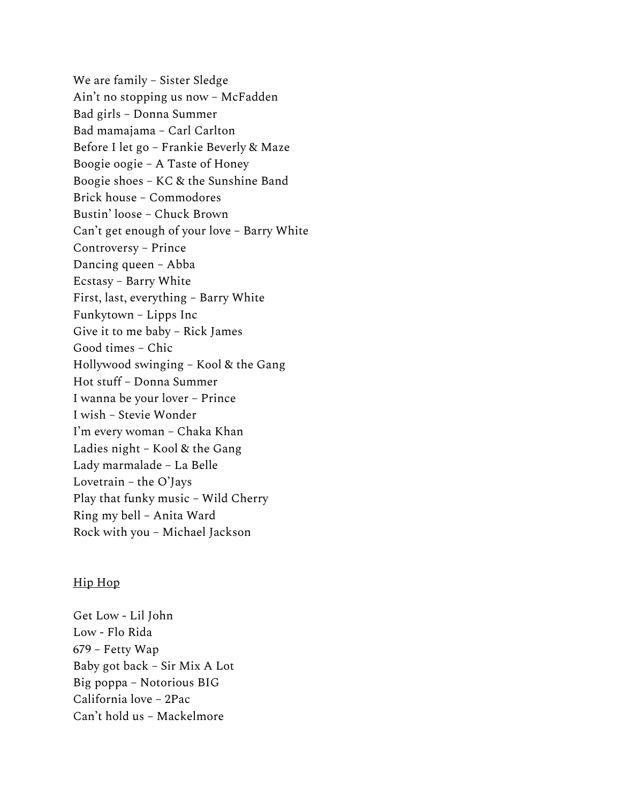We are family – Sister Sledge Ain't no stopping us now – McFadden Bad girls – Donna Summer Bad mamajama – Carl Carlton Before I let go – Frankie Beverly & Maze Boogie oogie – A Taste of Honey Boogie shoes – KC & the Sunshine Band Brick house – Commodores Bustin' loose – Chuck Brown Can't get enough of your love – Barry White Controversy – Prince Dancing queen – Abba Ecstasy – Barry White First, last, everything – Barry White Funkytown – Lipps Inc Give it to me baby – Rick James Good times – Chic Hollywood swinging – Kool & the Gang Hot stuff – Donna Summer I wanna be your lover – Prince I wish – Stevie Wonder I'm every woman – Chaka Khan Ladies night – Kool & the Gang Lady marmalade – La Belle Lovetrain – the O'Jays Play that funky music – Wild Cherry Ring my bell – Anita Ward Rock with you – Michael Jackson

# Hip Hop

Get Low - Lil John Low - Flo Rida 679 – Fetty Wap Baby got back – Sir Mix A Lot Big poppa – Notorious BIG California love – 2Pac Can't hold us – Mackelmore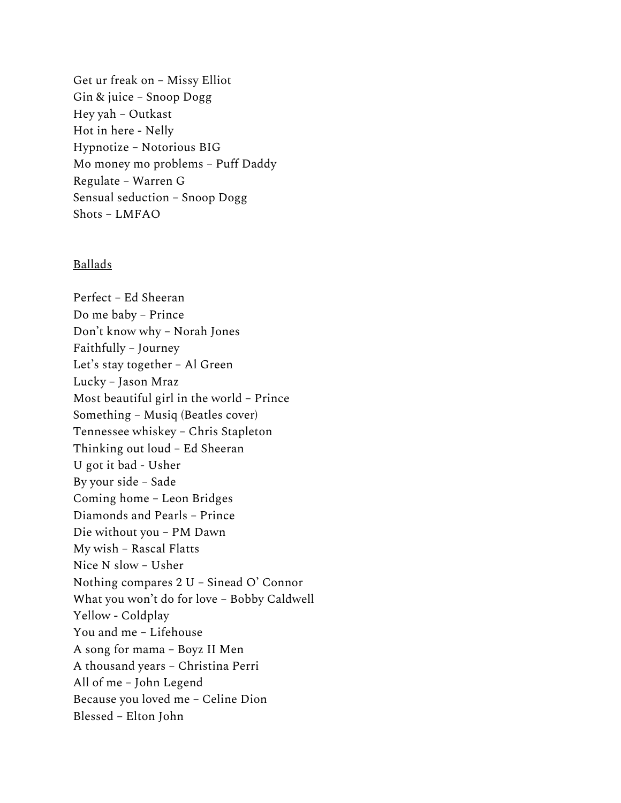Get ur freak on – Missy Elliot Gin & juice – Snoop Dogg Hey yah – Outkast Hot in here - Nelly Hypnotize – Notorious BIG Mo money mo problems – Puff Daddy Regulate – Warren G Sensual seduction – Snoop Dogg Shots – LMFAO

#### Ballads

Perfect – Ed Sheeran Do me baby – Prince Don't know why – Norah Jones Faithfully – Journey Let's stay together – Al Green Lucky – Jason Mraz Most beautiful girl in the world – Prince Something – Musiq (Beatles cover) Tennessee whiskey – Chris Stapleton Thinking out loud – Ed Sheeran U got it bad - Usher By your side – Sade Coming home – Leon Bridges Diamonds and Pearls – Prince Die without you – PM Dawn My wish – Rascal Flatts Nice N slow – Usher Nothing compares 2 U – Sinead O' Connor What you won't do for love – Bobby Caldwell Yellow - Coldplay You and me – Lifehouse A song for mama – Boyz II Men A thousand years – Christina Perri All of me – John Legend Because you loved me – Celine Dion Blessed – Elton John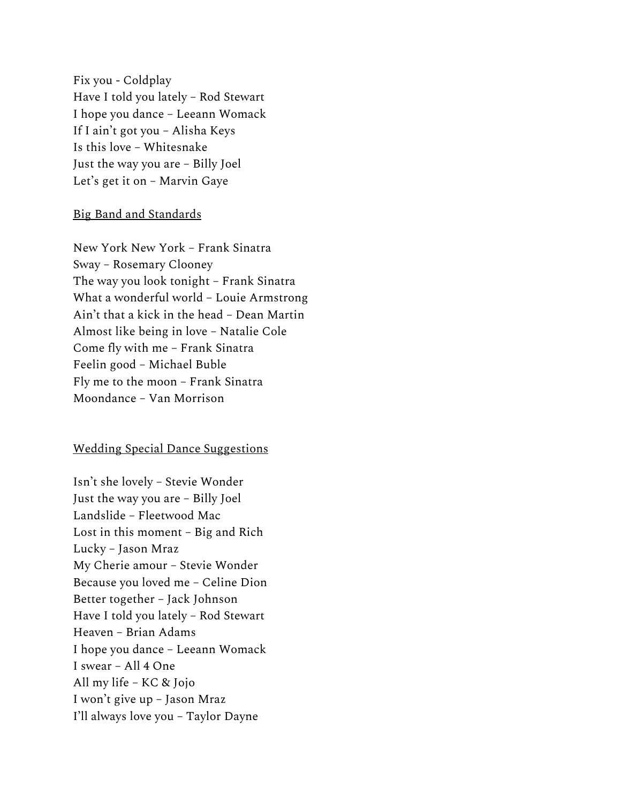Fix you - Coldplay Have I told you lately – Rod Stewart I hope you dance – Leeann Womack If I ain't got you – Alisha Keys Is this love – Whitesnake Just the way you are – Billy Joel Let's get it on – Marvin Gaye

#### Big Band and Standards

New York New York – Frank Sinatra Sway – Rosemary Clooney The way you look tonight – Frank Sinatra What a wonderful world – Louie Armstrong Ain't that a kick in the head – Dean Martin Almost like being in love – Natalie Cole Come fly with me – Frank Sinatra Feelin good – Michael Buble Fly me to the moon – Frank Sinatra Moondance – Van Morrison

# Wedding Special Dance Suggestions

Isn't she lovely – Stevie Wonder Just the way you are – Billy Joel Landslide – Fleetwood Mac Lost in this moment – Big and Rich Lucky – Jason Mraz My Cherie amour – Stevie Wonder Because you loved me – Celine Dion Better together – Jack Johnson Have I told you lately – Rod Stewart Heaven – Brian Adams I hope you dance – Leeann Womack I swear – All 4 One All my life – KC & Jojo I won't give up – Jason Mraz I'll always love you – Taylor Dayne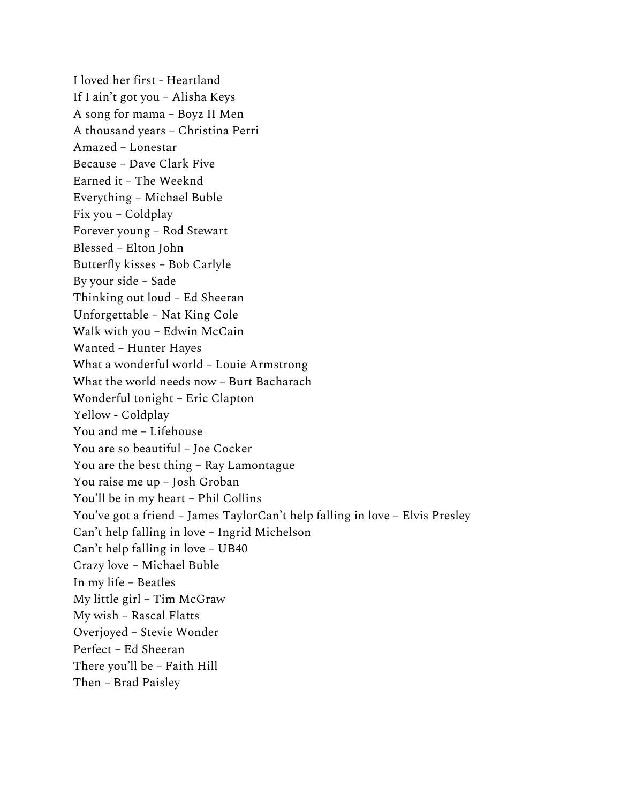I loved her first - Heartland If I ain't got you – Alisha Keys A song for mama – Boyz II Men A thousand years – Christina Perri Amazed – Lonestar Because – Dave Clark Five Earned it – The Weeknd Everything – Michael Buble Fix you – Coldplay Forever young – Rod Stewart Blessed – Elton John Butterfly kisses – Bob Carlyle By your side – Sade Thinking out loud – Ed Sheeran Unforgettable – Nat King Cole Walk with you – Edwin McCain Wanted – Hunter Hayes What a wonderful world – Louie Armstrong What the world needs now – Burt Bacharach Wonderful tonight – Eric Clapton Yellow - Coldplay You and me – Lifehouse You are so beautiful – Joe Cocker You are the best thing – Ray Lamontague You raise me up – Josh Groban You'll be in my heart – Phil Collins You've got a friend – James TaylorCan't help falling in love – Elvis Presley Can't help falling in love – Ingrid Michelson Can't help falling in love – UB40 Crazy love – Michael Buble In my life – Beatles My little girl – Tim McGraw My wish – Rascal Flatts Overjoyed – Stevie Wonder Perfect – Ed Sheeran There you'll be – Faith Hill Then – Brad Paisley